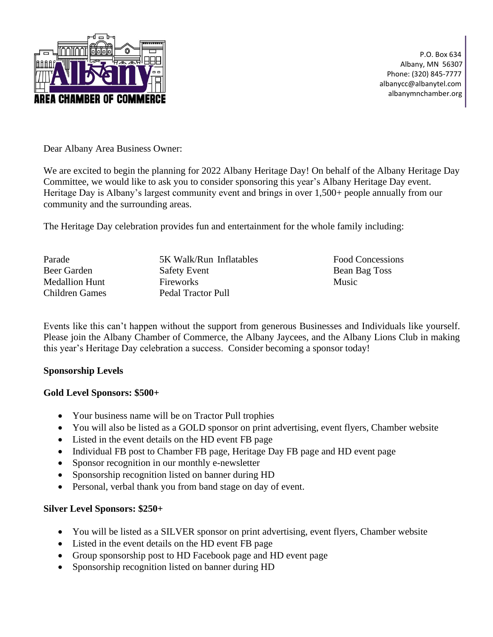

 P.O. Box 634 Albany, MN 56307 Phone: (320) 845-7777 albanycc@albanytel.com albanymnchamber.org

Dear Albany Area Business Owner:

We are excited to begin the planning for 2022 Albany Heritage Day! On behalf of the Albany Heritage Day Committee, we would like to ask you to consider sponsoring this year's Albany Heritage Day event. Heritage Day is Albany's largest community event and brings in over 1,500+ people annually from our community and the surrounding areas.

The Heritage Day celebration provides fun and entertainment for the whole family including:

| 5K Walk/Run Inflatables | <b>Food Concessions</b> |
|-------------------------|-------------------------|
| <b>Safety Event</b>     | Bean Bag Toss           |
| Fireworks               | <b>Music</b>            |
| Pedal Tractor Pull      |                         |
|                         |                         |

Events like this can't happen without the support from generous Businesses and Individuals like yourself. Please join the Albany Chamber of Commerce, the Albany Jaycees, and the Albany Lions Club in making this year's Heritage Day celebration a success. Consider becoming a sponsor today!

### **Sponsorship Levels**

### **Gold Level Sponsors: \$500+**

- Your business name will be on Tractor Pull trophies
- You will also be listed as a GOLD sponsor on print advertising, event flyers, Chamber website
- Listed in the event details on the HD event FB page
- Individual FB post to Chamber FB page, Heritage Day FB page and HD event page
- Sponsor recognition in our monthly e-newsletter
- Sponsorship recognition listed on banner during HD
- Personal, verbal thank you from band stage on day of event.

### **Silver Level Sponsors: \$250+**

- You will be listed as a SILVER sponsor on print advertising, event flyers, Chamber website
- Listed in the event details on the HD event FB page
- Group sponsorship post to HD Facebook page and HD event page
- Sponsorship recognition listed on banner during HD